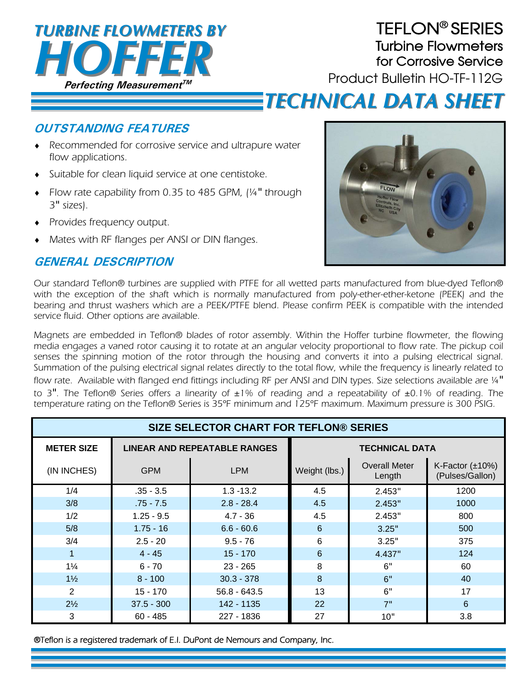

## TEFLON® SERIES Turbine Flowmeters for Corrosive Service

Product Bulletin HO-TF-112G

# *TECHNICAL DATA SHEET TECHNICAL DATA SHEET*

#### **OUTSTANDING FEATURES**

- Recommended for corrosive service and ultrapure water flow applications.
- Suitable for clean liquid service at one centistoke.
- Flow rate capability from 0.35 to 485 GPM, (¼" through 3" sizes).
- Provides frequency output.
- Mates with RF flanges per ANSI or DIN flanges.

### **GENERAL DESCRIPTION**



Our standard Teflon® turbines are supplied with PTFE for all wetted parts manufactured from blue-dyed Teflon® with the exception of the shaft which is normally manufactured from poly-ether-ether-ketone (PEEK) and the bearing and thrust washers which are a PEEK/PTFE blend. Please confirm PEEK is compatible with the intended service fluid. Other options are available.

Magnets are embedded in Teflon® blades of rotor assembly. Within the Hoffer turbine flowmeter, the flowing media engages a vaned rotor causing it to rotate at an angular velocity proportional to flow rate. The pickup coil senses the spinning motion of the rotor through the housing and converts it into a pulsing electrical signal. Summation of the pulsing electrical signal relates directly to the total flow, while the frequency is linearly related to flow rate. Available with flanged end fittings including RF per ANSI and DIN types. Size selections available are ¼" to 3". The Teflon® Series offers a linearity of  $\pm 1\%$  of reading and a repeatability of  $\pm 0.1\%$  of reading. The temperature rating on the Teflon® Series is 35ºF minimum and 125ºF maximum. Maximum pressure is 300 PSIG.

| <b>SIZE SELECTOR CHART FOR TEFLON® SERIES</b> |                                     |                |                       |                                |                                          |
|-----------------------------------------------|-------------------------------------|----------------|-----------------------|--------------------------------|------------------------------------------|
| <b>METER SIZE</b>                             | <b>LINEAR AND REPEATABLE RANGES</b> |                | <b>TECHNICAL DATA</b> |                                |                                          |
| (IN INCHES)                                   | <b>GPM</b>                          | <b>LPM</b>     | Weight (lbs.)         | <b>Overall Meter</b><br>Length | K-Factor $(\pm 10\%)$<br>(Pulses/Gallon) |
| 1/4                                           | $.35 - 3.5$                         | $1.3 - 13.2$   | 4.5                   | 2.453"                         | 1200                                     |
| 3/8                                           | $.75 - 7.5$                         | $2.8 - 28.4$   | 4.5                   | 2.453"                         | 1000                                     |
| 1/2                                           | $1.25 - 9.5$                        | $4.7 - 36$     | 4.5                   | 2.453"                         | 800                                      |
| 5/8                                           | $1.75 - 16$                         | $6.6 - 60.6$   | 6                     | 3.25"                          | 500                                      |
| 3/4                                           | $2.5 - 20$                          | $9.5 - 76$     | 6                     | 3.25"                          | 375                                      |
| 1                                             | $4 - 45$                            | $15 - 170$     | 6                     | 4.437"                         | 124                                      |
| $1\frac{1}{4}$                                | $6 - 70$                            | $23 - 265$     | 8                     | 6"                             | 60                                       |
| $1\frac{1}{2}$                                | $8 - 100$                           | $30.3 - 378$   | 8                     | 6"                             | 40                                       |
| 2                                             | $15 - 170$                          | $56.8 - 643.5$ | 13                    | 6"                             | 17                                       |
| $2\frac{1}{2}$                                | $37.5 - 300$                        | 142 - 1135     | 22                    | 7"                             | 6                                        |
| 3                                             | $60 - 485$                          | 227 - 1836     | 27                    | 10"                            | 3.8                                      |

®Teflon is a registered trademark of E.I. DuPont de Nemours and Company, Inc.